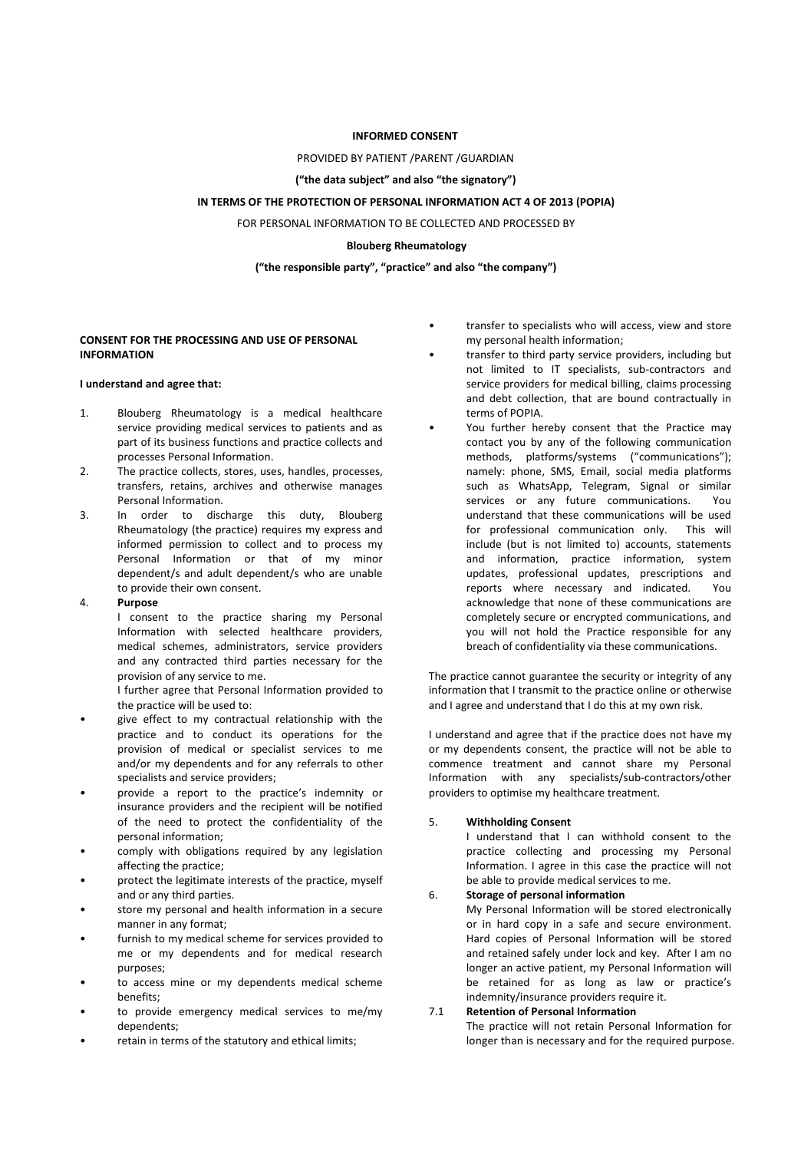## **INFORMED CONSENT**

#### PROVIDED BY PATIENT /PARENT /GUARDIAN

## **("the data subject" and also "the signatory")**

## **IN TERMS OF THE PROTECTION OF PERSONAL INFORMATION ACT 4 OF 2013 (POPIA)**

FOR PERSONAL INFORMATION TO BE COLLECTED AND PROCESSED BY

# **Blouberg Rheumatology**

**("the responsible party", "practice" and also "the company")**

## **CONSENT FOR THE PROCESSING AND USE OF PERSONAL INFORMATION**

#### **I understand and agree that:**

- 1. Blouberg Rheumatology is a medical healthcare service providing medical services to patients and as part of its business functions and practice collects and processes Personal Information.
- 2. The practice collects, stores, uses, handles, processes, transfers, retains, archives and otherwise manages Personal Information.
- 3. In order to discharge this duty, Blouberg Rheumatology (the practice) requires my express and informed permission to collect and to process my Personal Information or that of my minor dependent/s and adult dependent/s who are unable to provide their own consent.

#### 4. **Purpose**

I consent to the practice sharing my Personal Information with selected healthcare providers, medical schemes, administrators, service providers and any contracted third parties necessary for the provision of any service to me.

I further agree that Personal Information provided to the practice will be used to:

- give effect to my contractual relationship with the practice and to conduct its operations for the provision of medical or specialist services to me and/or my dependents and for any referrals to other
- specialists and service providers;<br>• provide a report to the practice's indemnity or insurance providers and the recipient will be notified of the need to protect the confidentiality of the  $5.$ personal information;
- comply with obligations required by any legislation affecting the practice;
- protect the legitimate interests of the practice, myself and or any third parties.
- store my personal and health information in a secure manner in any format;<br>furnish to my medical scheme for services provided to
- me or my dependents and for medical research purposes;
- to access mine or my dependents medical scheme benefits;
- to provide emergency medical services to me/my 7.1 dependents;
- retain in terms of the statutory and ethical limits;
- transfer to specialists who will access, view and store my personal health information;
- transfer to third party service providers, including but not limited to IT specialists, sub-contractors and service providers for medical billing, claims processing and debt collection, that are bound contractually in terms of POPIA.
- You further hereby consent that the Practice may contact you by any of the following communication methods, platforms/systems ("communications"); namely: phone, SMS, Email, social media platforms such as WhatsApp, Telegram, Signal or similar services or any future communications. You understand that these communications will be used for professional communication only. This will include (but is not limited to) accounts, statements and information, practice information, system updates, professional updates, prescriptions and reports where necessary and indicated. You acknowledge that none of these communications are completely secure or encrypted communications, and you will not hold the Practice responsible for any breach of confidentiality via these communications.

The practice cannot guarantee the security or integrity of any information that I transmit to the practice online or otherwise and I agree and understand that I do this at my own risk.

I understand and agree that if the practice does not have my or my dependents consent, the practice will not be able to commence treatment and cannot share my Personal Information with any specialists/sub-contractors/other providers to optimise my healthcare treatment.

# 5.**Withholding Consent**

I understand that I can withhold consent to the practice collecting and processing my Personal Information. I agree in this case the practice will not be able to provide medical services to me.

## 6. **Storage of personalinformation**

My Personal Information will be stored electronically or in hard copy in a safe and secure environment. Hard copies of Personal Information will be stored and retained safely under lock and key. After I am no longer an active patient, my Personal Information will be retained for as long as law or practice's indemnity/insurance providers require it.

### 7.1 **Retention of Personal Information**

The practice will not retain Personal Information for longer than is necessary and for the required purpose.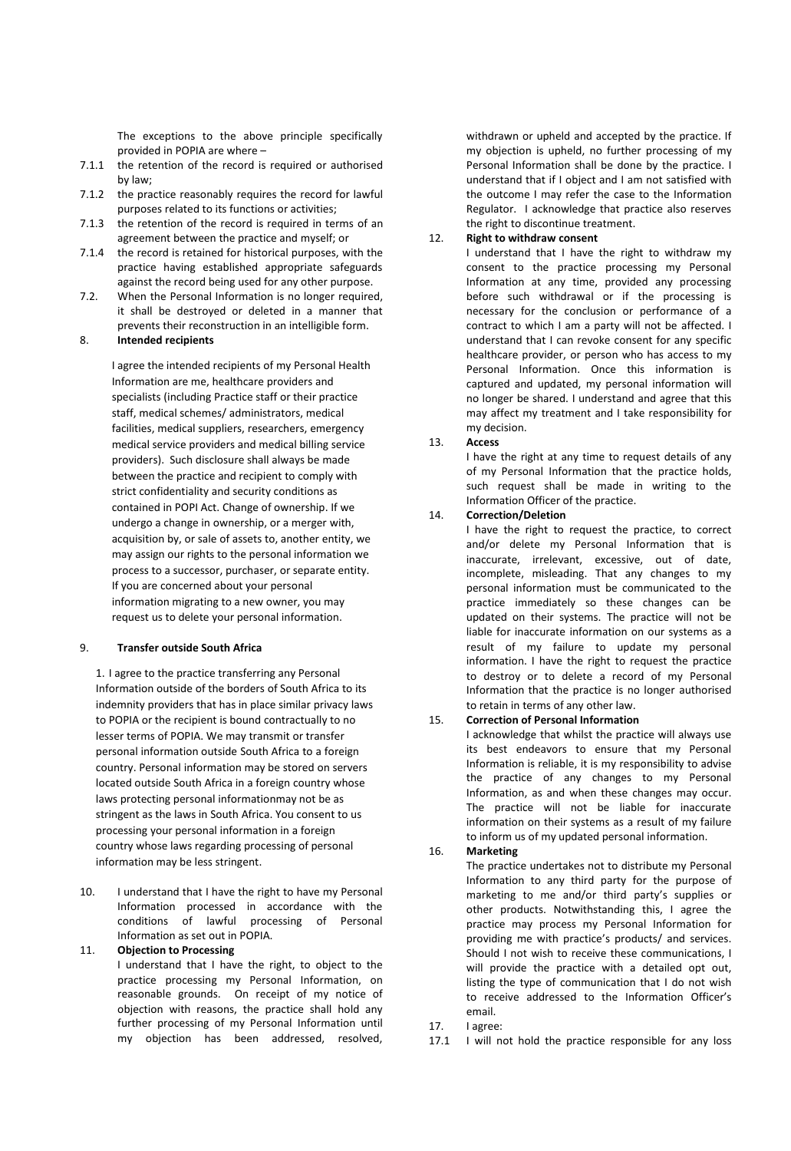The exceptions to the above principle specifically provided in POPIA are where -

- 7.1.1 the retention of the record is required or authorised by law;
- 7.1.2 the practice reasonably requires the record for lawful purposes related to its functions or activities;
- 7.1.3 the retention of the record is required in terms of an agreement between the practice and myself; or
- 7.1.4 the record is retained for historical purposes, with the practice having established appropriate safeguards against the record being used for any other purpose.
- 7.2. When the Personal Information is no longer required, it shall be destroyed or deleted in a manner that prevents their reconstruction in an intelligible form.

## 8. **Intended recipients**

I agree the intended recipients of my Personal Health Information are me, healthcare providers and specialists (including Practice staff or their practice staff, medical schemes/ administrators, medical facilities, medical suppliers, researchers, emergency my dec<br>medical service providers and medical billing service 13. Access medical service providers and medical billing service providers). Such disclosure shall always be made between the practice and recipient to comply with strict confidentiality and security conditions as contained in POPI Act. Change of ownership. If we undergo a change in ownership, or a merger with, acquisition by, or sale of assets to, another entity, we may assign our rights to the personal information we process to a successor, purchaser, or separate entity. If you are concerned about your personal information migrating to a new owner, you may request us to delete your personal information.

## 9. **Transfer outside South Africa**

1. I agree to the practice transferring any Personal Information outside of the borders of South Africa to its indemnity providers that has in place similar privacy laws to POPIA or the recipient is bound contractually to no lesser terms of POPIA. We may transmit or transfer personal information outside South Africa to a foreign country. Personal information may be stored on servers located outside South Africa in a foreign country whose laws protecting personal informationmay not be as stringent as the laws in South Africa. You consent to us processing your personal information in a foreign country whose laws regarding processing of personal information may be less stringent.

10. I understand that I have the right to have my Personal Information processed in accordance with the conditions of lawful processing of Personal Information as set out in POPIA.

#### 11. **Objection to Processing**

I understand that I have the right, to object to the practice processing my Personal Information, on reasonable grounds. On receipt of my notice of objection with reasons, the practice shall hold any further processing of my Personal Information until my objection has been addressed, resolved,

withdrawn or upheld and accepted by the practice. If my objection is upheld, no further processing of my Personal Information shall be done by the practice. I understand that if I object and I am not satisfied with the outcome I may refer the case to the Information Regulator. I acknowledge that practice also reserves the right to discontinue treatment.12. **Right to withdraw consent**

I understand that I have the right to withdraw my consent to the practice processing my Personal Information at any time, provided any processing before such withdrawal or if the processing is necessary for the conclusion or performance of a contract to which I am a party will not be affected. I understand that I can revoke consent for any specific healthcare provider, or person who has access to my Personal Information. Once this information is captured and updated, my personal information will no longer be shared. I understand and agree that this may affect my treatment and I take responsibility for my decision.

I have the right at any time to request details of any of my Personal Information that the practice holds, such request shall be made in writing to the Information Officer of the practice.

## 14. **Correction/Deletion**

I have the right to request the practice, to correct and/or delete my Personal Information that is inaccurate, irrelevant, excessive, out of date, incomplete, misleading. That any changes to my personal information must be communicated to the practice immediately so these changes can be updated on their systems. The practice will not be liable for inaccurate information on our systems as a result of my failure to update my personal information. I have the right to request the practice to destroy or to delete a record of my Personal Information that the practice is no longer authorised to retain in terms of any other law.

# 15. **Correction of Personal Information**

I acknowledge that whilst the practice will always use its best endeavors to ensure that my Personal Information is reliable, it is my responsibility to advise the practice of any changes to my Personal Information, as and when these changes may occur. The practice will not be liable for inaccurate information on their systems as a result of my failure to inform us of my updated personal information.

## 16. **Marketing**

The practice undertakes not to distribute my Personal Information to any third party for the purpose of marketing to me and/or third party's supplies or other products. Notwithstanding this, I agree the practice may process my Personal Information for providing me with practice's products/ and services. Should I not wish to receive these communications, I will provide the practice with a detailed opt out, listing the type of communication that I do not wish to receive addressed to the Information Officer's email.

- 17. I agree:
- 17.1 I will not hold the practice responsible for any loss